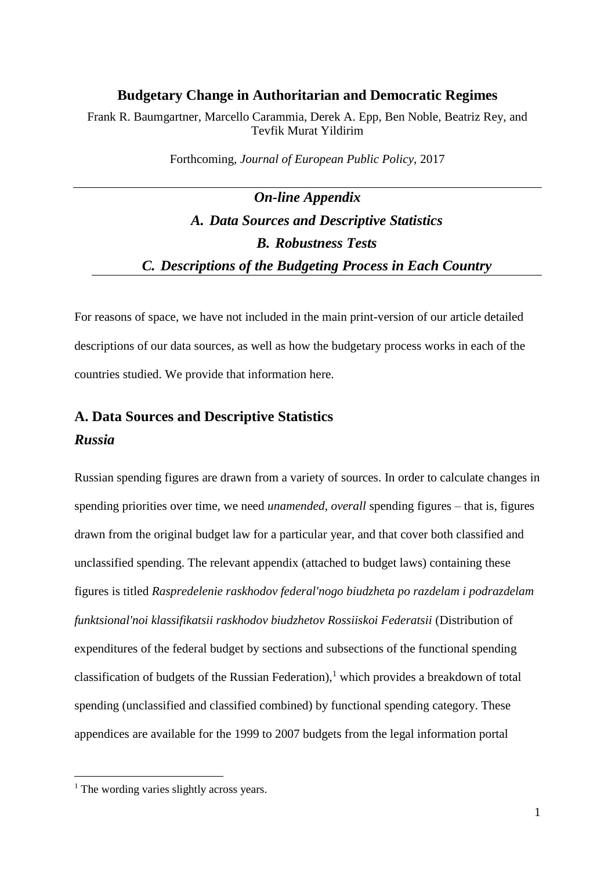#### **Budgetary Change in Authoritarian and Democratic Regimes**

Frank R. Baumgartner, Marcello Carammia, Derek A. Epp, Ben Noble, Beatriz Rey, and Tevfik Murat Yildirim

Forthcoming, *Journal of European Public Policy*, 2017

# *On-line Appendix A. Data Sources and Descriptive Statistics B. Robustness Tests C. Descriptions of the Budgeting Process in Each Country*

For reasons of space, we have not included in the main print-version of our article detailed descriptions of our data sources, as well as how the budgetary process works in each of the countries studied. We provide that information here.

## **A. Data Sources and Descriptive Statistics** *Russia*

Russian spending figures are drawn from a variety of sources. In order to calculate changes in spending priorities over time, we need *unamended*, *overall* spending figures – that is, figures drawn from the original budget law for a particular year, and that cover both classified and unclassified spending. The relevant appendix (attached to budget laws) containing these figures is titled *Raspredelenie raskhodov federal'nogo biudzheta po razdelam i podrazdelam funktsional'noi klassifikatsii raskhodov biudzhetov Rossiiskoi Federatsii* (Distribution of expenditures of the federal budget by sections and subsections of the functional spending classification of budgets of the Russian Federation),<sup>1</sup> which provides a breakdown of total spending (unclassified and classified combined) by functional spending category. These appendices are available for the 1999 to 2007 budgets from the legal information portal

 $<sup>1</sup>$  The wording varies slightly across years.</sup>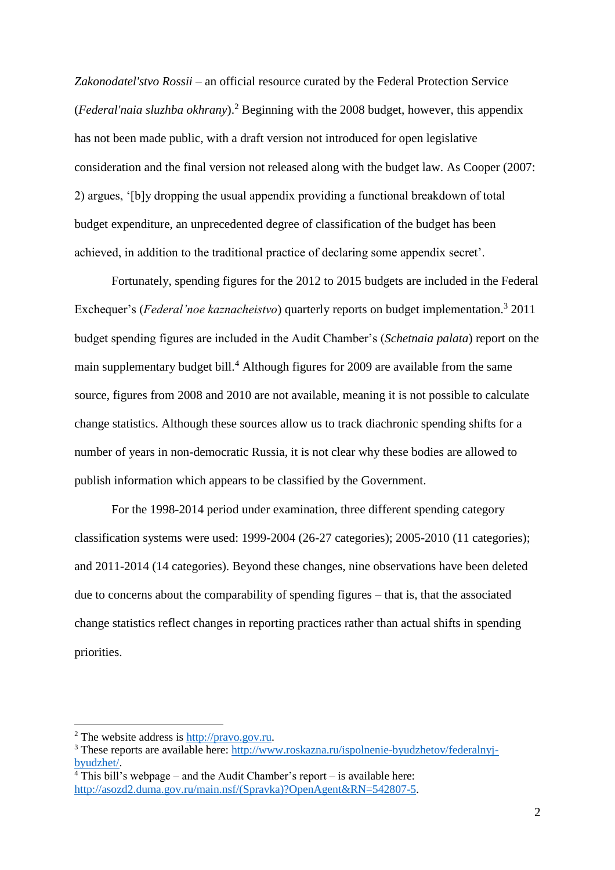*Zakonodatel'stvo Rossii* – an official resource curated by the Federal Protection Service (*Federal'naia sluzhba okhrany*).<sup>2</sup> Beginning with the 2008 budget, however, this appendix has not been made public, with a draft version not introduced for open legislative consideration and the final version not released along with the budget law. As Cooper (2007: 2) argues, '[b]y dropping the usual appendix providing a functional breakdown of total budget expenditure, an unprecedented degree of classification of the budget has been achieved, in addition to the traditional practice of declaring some appendix secret'.

Fortunately, spending figures for the 2012 to 2015 budgets are included in the Federal Exchequer's (*Federal'noe kaznacheistvo*) quarterly reports on budget implementation.<sup>3</sup> 2011 budget spending figures are included in the Audit Chamber's (*Schetnaia palata*) report on the main supplementary budget bill.<sup>4</sup> Although figures for 2009 are available from the same source, figures from 2008 and 2010 are not available, meaning it is not possible to calculate change statistics. Although these sources allow us to track diachronic spending shifts for a number of years in non-democratic Russia, it is not clear why these bodies are allowed to publish information which appears to be classified by the Government.

For the 1998-2014 period under examination, three different spending category classification systems were used: 1999-2004 (26-27 categories); 2005-2010 (11 categories); and 2011-2014 (14 categories). Beyond these changes, nine observations have been deleted due to concerns about the comparability of spending figures – that is, that the associated change statistics reflect changes in reporting practices rather than actual shifts in spending priorities.

<sup>2</sup> The website address is [http://pravo.gov.ru.](http://pravo.gov.ru/)

<sup>&</sup>lt;sup>3</sup> These reports are available here: [http://www.roskazna.ru/ispolnenie-byudzhetov/federalnyj](http://www.roskazna.ru/ispolnenie-byudzhetov/federalnyj-byudzhet/)[byudzhet/.](http://www.roskazna.ru/ispolnenie-byudzhetov/federalnyj-byudzhet/)

 $4$  This bill's webpage – and the Audit Chamber's report – is available here: [http://asozd2.duma.gov.ru/main.nsf/\(Spravka\)?OpenAgent&RN=542807-5.](http://asozd2.duma.gov.ru/main.nsf/(Spravka)?OpenAgent&RN=542807-5)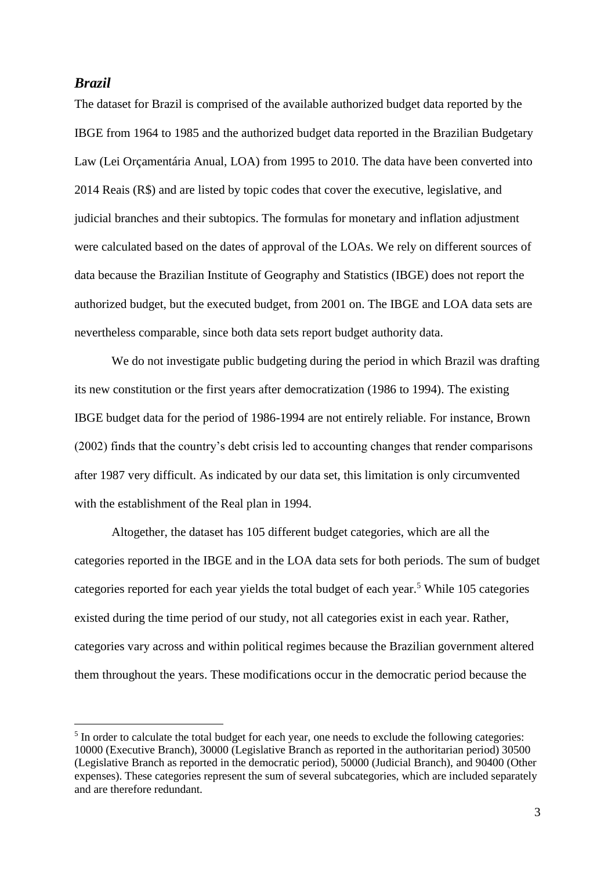## *Brazil*

 $\overline{a}$ 

The dataset for Brazil is comprised of the available authorized budget data reported by the IBGE from 1964 to 1985 and the authorized budget data reported in the Brazilian Budgetary Law (Lei Orçamentária Anual, LOA) from 1995 to 2010. The data have been converted into 2014 Reais (R\$) and are listed by topic codes that cover the executive, legislative, and judicial branches and their subtopics. The formulas for monetary and inflation adjustment were calculated based on the dates of approval of the LOAs. We rely on different sources of data because the Brazilian Institute of Geography and Statistics (IBGE) does not report the authorized budget, but the executed budget, from 2001 on. The IBGE and LOA data sets are nevertheless comparable, since both data sets report budget authority data.

We do not investigate public budgeting during the period in which Brazil was drafting its new constitution or the first years after democratization (1986 to 1994). The existing IBGE budget data for the period of 1986-1994 are not entirely reliable. For instance, Brown (2002) finds that the country's debt crisis led to accounting changes that render comparisons after 1987 very difficult. As indicated by our data set, this limitation is only circumvented with the establishment of the Real plan in 1994.

Altogether, the dataset has 105 different budget categories, which are all the categories reported in the IBGE and in the LOA data sets for both periods. The sum of budget categories reported for each year yields the total budget of each year.<sup>5</sup> While 105 categories existed during the time period of our study, not all categories exist in each year. Rather, categories vary across and within political regimes because the Brazilian government altered them throughout the years. These modifications occur in the democratic period because the

<sup>&</sup>lt;sup>5</sup> In order to calculate the total budget for each year, one needs to exclude the following categories: 10000 (Executive Branch), 30000 (Legislative Branch as reported in the authoritarian period) 30500 (Legislative Branch as reported in the democratic period), 50000 (Judicial Branch), and 90400 (Other expenses). These categories represent the sum of several subcategories, which are included separately and are therefore redundant.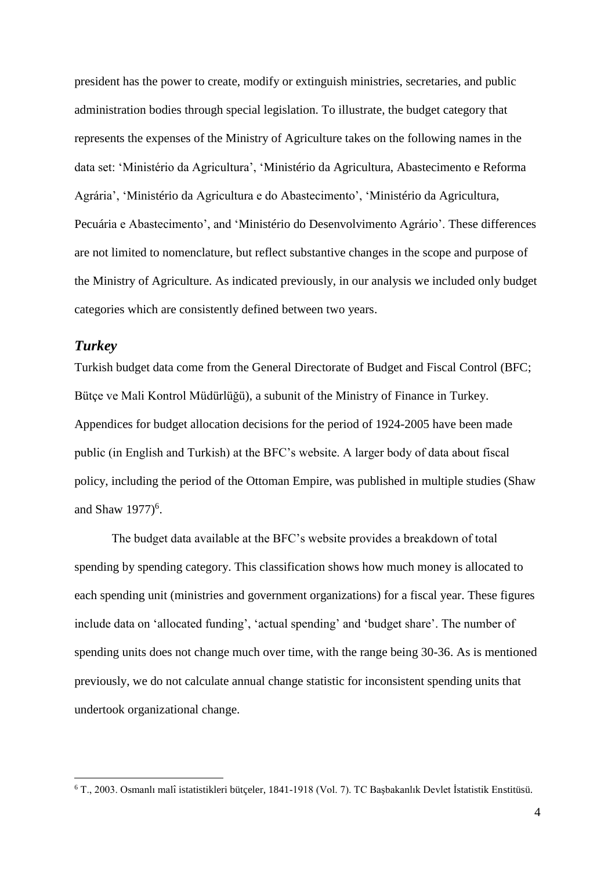president has the power to create, modify or extinguish ministries, secretaries, and public administration bodies through special legislation. To illustrate, the budget category that represents the expenses of the Ministry of Agriculture takes on the following names in the data set: 'Ministério da Agricultura', 'Ministério da Agricultura, Abastecimento e Reforma Agrária', 'Ministério da Agricultura e do Abastecimento', 'Ministério da Agricultura, Pecuária e Abastecimento', and 'Ministério do Desenvolvimento Agrário'. These differences are not limited to nomenclature, but reflect substantive changes in the scope and purpose of the Ministry of Agriculture. As indicated previously, in our analysis we included only budget categories which are consistently defined between two years.

## *Turkey*

 $\overline{a}$ 

Turkish budget data come from the General Directorate of Budget and Fiscal Control (BFC; Bütçe ve Mali Kontrol Müdürlüğü), a subunit of the Ministry of Finance in Turkey. Appendices for budget allocation decisions for the period of 1924-2005 have been made public (in English and Turkish) at the BFC's website. A larger body of data about fiscal policy, including the period of the Ottoman Empire, was published in multiple studies (Shaw and Shaw  $1977$ <sup>6</sup>.

The budget data available at the BFC's website provides a breakdown of total spending by spending category. This classification shows how much money is allocated to each spending unit (ministries and government organizations) for a fiscal year. These figures include data on 'allocated funding', 'actual spending' and 'budget share'. The number of spending units does not change much over time, with the range being 30-36. As is mentioned previously, we do not calculate annual change statistic for inconsistent spending units that undertook organizational change.

 $6$  T., 2003. Osmanlı malî istatistikleri bütçeler, 1841-1918 (Vol. 7). TC Başbakanlık Devlet İstatistik Enstitüsü.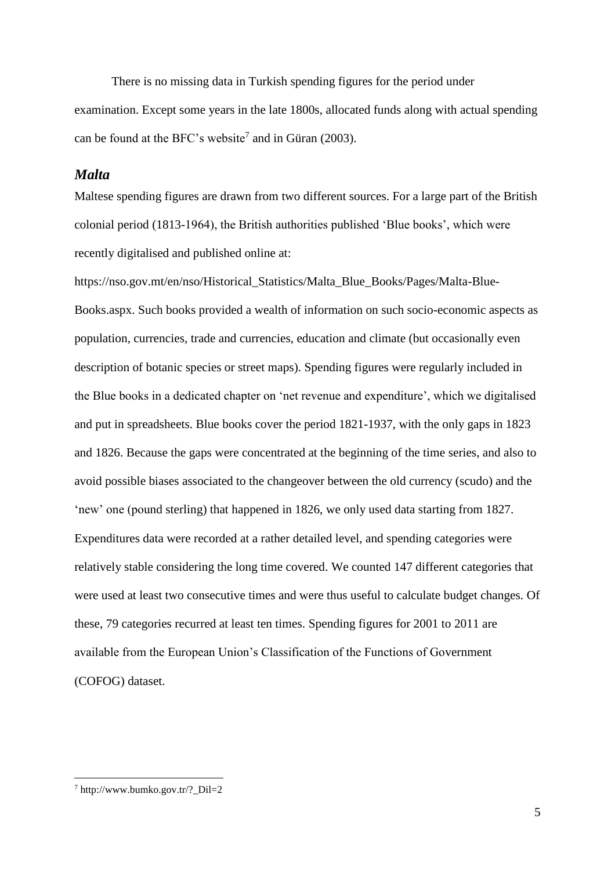There is no missing data in Turkish spending figures for the period under examination. Except some years in the late 1800s, allocated funds along with actual spending can be found at the BFC's website<sup>7</sup> and in Güran (2003).

## *Malta*

Maltese spending figures are drawn from two different sources. For a large part of the British colonial period (1813-1964), the British authorities published 'Blue books', which were recently digitalised and published online at:

https://nso.gov.mt/en/nso/Historical\_Statistics/Malta\_Blue\_Books/Pages/Malta-Blue-Books.aspx. Such books provided a wealth of information on such socio-economic aspects as population, currencies, trade and currencies, education and climate (but occasionally even description of botanic species or street maps). Spending figures were regularly included in the Blue books in a dedicated chapter on 'net revenue and expenditure', which we digitalised and put in spreadsheets. Blue books cover the period 1821-1937, with the only gaps in 1823 and 1826. Because the gaps were concentrated at the beginning of the time series, and also to avoid possible biases associated to the changeover between the old currency (scudo) and the 'new' one (pound sterling) that happened in 1826, we only used data starting from 1827. Expenditures data were recorded at a rather detailed level, and spending categories were relatively stable considering the long time covered. We counted 147 different categories that were used at least two consecutive times and were thus useful to calculate budget changes. Of these, 79 categories recurred at least ten times. Spending figures for 2001 to 2011 are available from the European Union's Classification of the Functions of Government (COFOG) dataset.

 $^7$  http://www.bumko.gov.tr/? Dil=2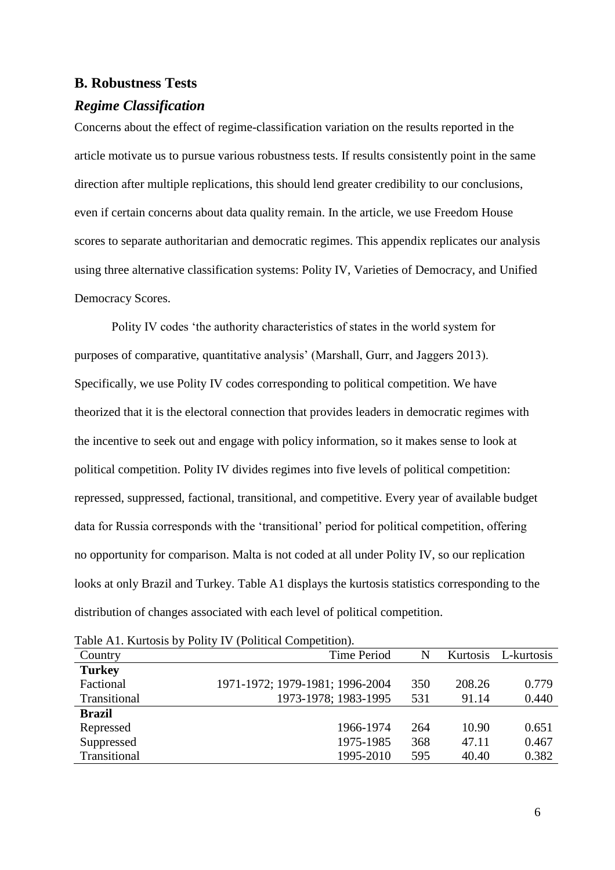#### **B. Robustness Tests**

#### *Regime Classification*

Concerns about the effect of regime-classification variation on the results reported in the article motivate us to pursue various robustness tests. If results consistently point in the same direction after multiple replications, this should lend greater credibility to our conclusions, even if certain concerns about data quality remain. In the article, we use Freedom House scores to separate authoritarian and democratic regimes. This appendix replicates our analysis using three alternative classification systems: Polity IV, Varieties of Democracy, and Unified Democracy Scores.

Polity IV codes 'the authority characteristics of states in the world system for purposes of comparative, quantitative analysis' (Marshall, Gurr, and Jaggers 2013). Specifically, we use Polity IV codes corresponding to political competition. We have theorized that it is the electoral connection that provides leaders in democratic regimes with the incentive to seek out and engage with policy information, so it makes sense to look at political competition. Polity IV divides regimes into five levels of political competition: repressed, suppressed, factional, transitional, and competitive. Every year of available budget data for Russia corresponds with the 'transitional' period for political competition, offering no opportunity for comparison. Malta is not coded at all under Polity IV, so our replication looks at only Brazil and Turkey. Table A1 displays the kurtosis statistics corresponding to the distribution of changes associated with each level of political competition.

| Country       | <b>Time Period</b>              | N   | Kurtosis | L-kurtosis |
|---------------|---------------------------------|-----|----------|------------|
| <b>Turkey</b> |                                 |     |          |            |
| Factional     | 1971-1972; 1979-1981; 1996-2004 | 350 | 208.26   | 0.779      |
| Transitional  | 1973-1978; 1983-1995            | 531 | 91.14    | 0.440      |
| <b>Brazil</b> |                                 |     |          |            |
| Repressed     | 1966-1974                       | 264 | 10.90    | 0.651      |
| Suppressed    | 1975-1985                       | 368 | 47.11    | 0.467      |
| Transitional  | 1995-2010                       | 595 | 40.40    | 0.382      |

Table A1. Kurtosis by Polity IV (Political Competition).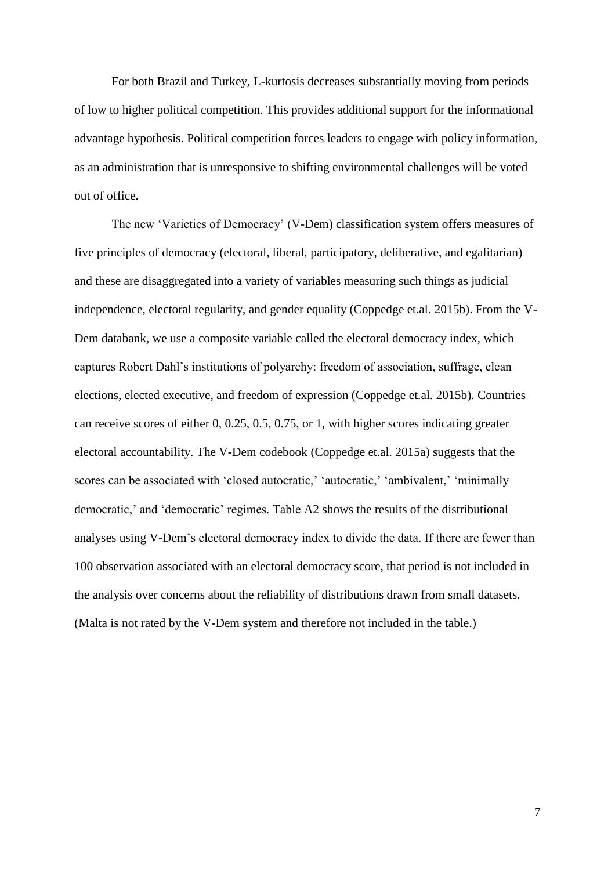For both Brazil and Turkey, L-kurtosis decreases substantially moving from periods of low to higher political competition. This provides additional support for the informational advantage hypothesis. Political competition forces leaders to engage with policy information, as an administration that is unresponsive to shifting environmental challenges will be voted out of office.

The new 'Varieties of Democracy' (V-Dem) classification system offers measures of five principles of democracy (electoral, liberal, participatory, deliberative, and egalitarian) and these are disaggregated into a variety of variables measuring such things as judicial independence, electoral regularity, and gender equality (Coppedge et.al. 2015b). From the V-Dem databank, we use a composite variable called the electoral democracy index, which captures Robert Dahl's institutions of polyarchy: freedom of association, suffrage, clean elections, elected executive, and freedom of expression (Coppedge et.al. 2015b). Countries can receive scores of either 0, 0.25, 0.5, 0.75, or 1, with higher scores indicating greater electoral accountability. The V-Dem codebook (Coppedge et.al. 2015a) suggests that the scores can be associated with 'closed autocratic,' 'autocratic,' 'ambivalent,' 'minimally democratic,' and 'democratic' regimes. Table A2 shows the results of the distributional analyses using V-Dem's electoral democracy index to divide the data. If there are fewer than 100 observation associated with an electoral democracy score, that period is not included in the analysis over concerns about the reliability of distributions drawn from small datasets. (Malta is not rated by the V-Dem system and therefore not included in the table.)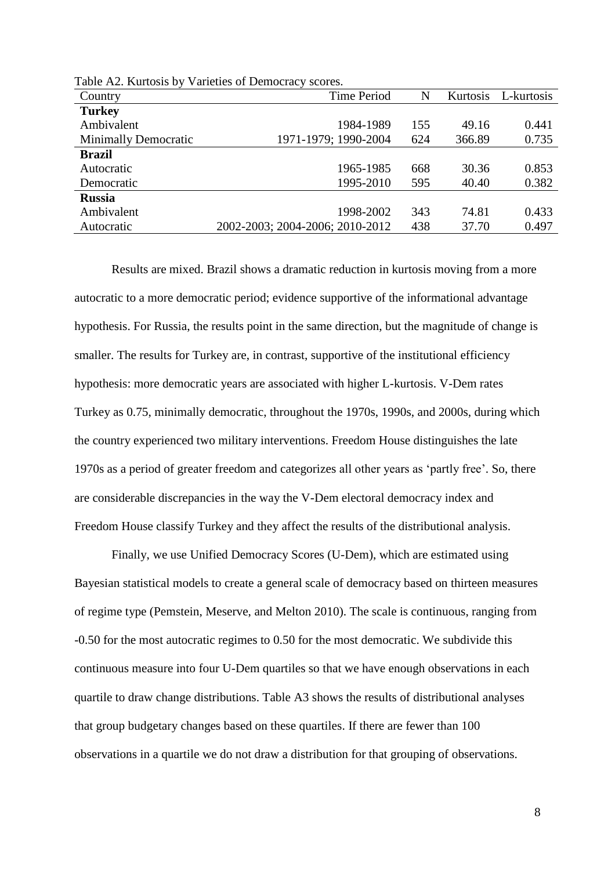| Country                     | <b>Time Period</b>              | N   | Kurtosis | L-kurtosis |
|-----------------------------|---------------------------------|-----|----------|------------|
| <b>Turkey</b>               |                                 |     |          |            |
| Ambivalent                  | 1984-1989                       | 155 | 49.16    | 0.441      |
| <b>Minimally Democratic</b> | 1971-1979; 1990-2004            | 624 | 366.89   | 0.735      |
| Brazil                      |                                 |     |          |            |
| Autocratic                  | 1965-1985                       | 668 | 30.36    | 0.853      |
| Democratic                  | 1995-2010                       | 595 | 40.40    | 0.382      |
| <b>Russia</b>               |                                 |     |          |            |
| Ambivalent                  | 1998-2002                       | 343 | 74.81    | 0.433      |
| Autocratic                  | 2002-2003; 2004-2006; 2010-2012 | 438 | 37.70    | 0.497      |

Table A2. Kurtosis by Varieties of Democracy scores.

Results are mixed. Brazil shows a dramatic reduction in kurtosis moving from a more autocratic to a more democratic period; evidence supportive of the informational advantage hypothesis. For Russia, the results point in the same direction, but the magnitude of change is smaller. The results for Turkey are, in contrast, supportive of the institutional efficiency hypothesis: more democratic years are associated with higher L-kurtosis. V-Dem rates Turkey as 0.75, minimally democratic, throughout the 1970s, 1990s, and 2000s, during which the country experienced two military interventions. Freedom House distinguishes the late 1970s as a period of greater freedom and categorizes all other years as 'partly free'. So, there are considerable discrepancies in the way the V-Dem electoral democracy index and Freedom House classify Turkey and they affect the results of the distributional analysis.

Finally, we use Unified Democracy Scores (U-Dem), which are estimated using Bayesian statistical models to create a general scale of democracy based on thirteen measures of regime type (Pemstein, Meserve, and Melton 2010). The scale is continuous, ranging from -0.50 for the most autocratic regimes to 0.50 for the most democratic. We subdivide this continuous measure into four U-Dem quartiles so that we have enough observations in each quartile to draw change distributions. Table A3 shows the results of distributional analyses that group budgetary changes based on these quartiles. If there are fewer than 100 observations in a quartile we do not draw a distribution for that grouping of observations.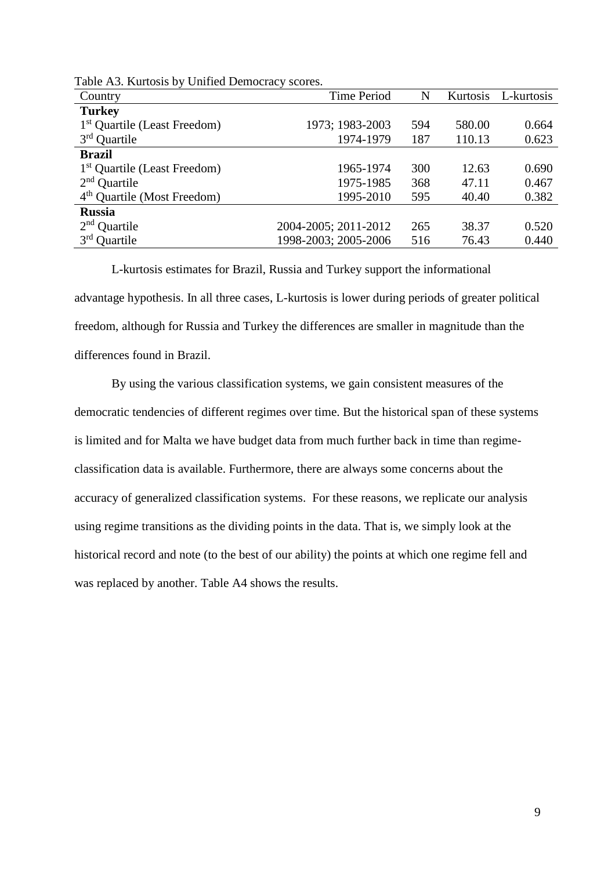| Country                                  | <b>Time Period</b>   | N   | Kurtosis | L-kurtosis |
|------------------------------------------|----------------------|-----|----------|------------|
| <b>Turkey</b>                            |                      |     |          |            |
| 1 <sup>st</sup> Quartile (Least Freedom) | 1973; 1983-2003      | 594 | 580.00   | 0.664      |
| $3rd$ Quartile                           | 1974-1979            | 187 | 110.13   | 0.623      |
| <b>Brazil</b>                            |                      |     |          |            |
| 1 <sup>st</sup> Quartile (Least Freedom) | 1965-1974            | 300 | 12.63    | 0.690      |
| $2nd$ Quartile                           | 1975-1985            | 368 | 47.11    | 0.467      |
| 4 <sup>th</sup> Quartile (Most Freedom)  | 1995-2010            | 595 | 40.40    | 0.382      |
| <b>Russia</b>                            |                      |     |          |            |
| $2nd$ Quartile                           | 2004-2005; 2011-2012 | 265 | 38.37    | 0.520      |
| $3rd$ Quartile                           | 1998-2003; 2005-2006 | 516 | 76.43    | 0.440      |

Table A3. Kurtosis by Unified Democracy scores.

L-kurtosis estimates for Brazil, Russia and Turkey support the informational advantage hypothesis. In all three cases, L-kurtosis is lower during periods of greater political freedom, although for Russia and Turkey the differences are smaller in magnitude than the differences found in Brazil.

By using the various classification systems, we gain consistent measures of the democratic tendencies of different regimes over time. But the historical span of these systems is limited and for Malta we have budget data from much further back in time than regimeclassification data is available. Furthermore, there are always some concerns about the accuracy of generalized classification systems. For these reasons, we replicate our analysis using regime transitions as the dividing points in the data. That is, we simply look at the historical record and note (to the best of our ability) the points at which one regime fell and was replaced by another. Table A4 shows the results.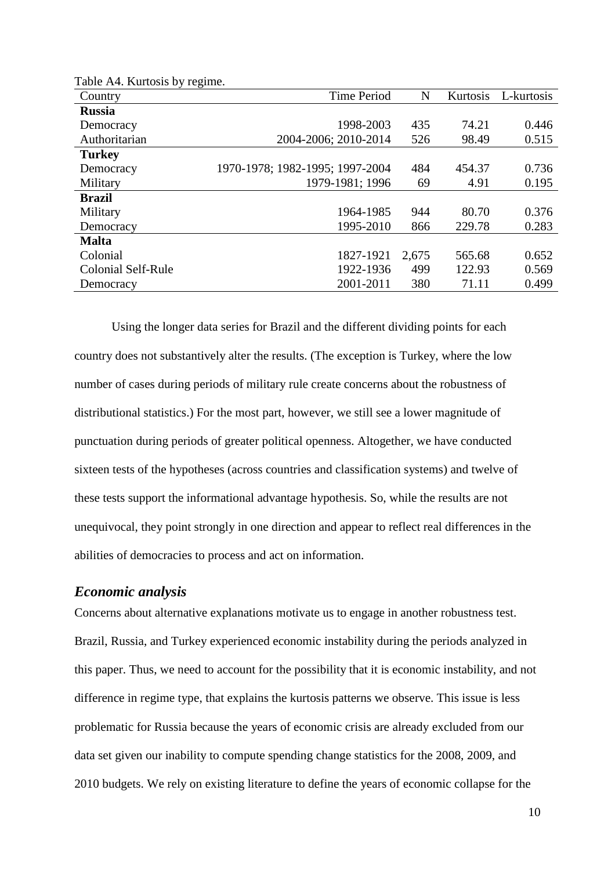| $10000 \times 17$ , isurvosis vy $100000$ .<br>Country | <b>Time Period</b>              | N     | Kurtosis | L-kurtosis |
|--------------------------------------------------------|---------------------------------|-------|----------|------------|
| <b>Russia</b>                                          |                                 |       |          |            |
| Democracy                                              | 1998-2003                       | 435   | 74.21    | 0.446      |
| Authoritarian                                          | 2004-2006; 2010-2014            | 526   | 98.49    | 0.515      |
| <b>Turkey</b>                                          |                                 |       |          |            |
| Democracy                                              | 1970-1978; 1982-1995; 1997-2004 | 484   | 454.37   | 0.736      |
| Military                                               | 1979-1981; 1996                 | 69    | 4.91     | 0.195      |
| <b>Brazil</b>                                          |                                 |       |          |            |
| Military                                               | 1964-1985                       | 944   | 80.70    | 0.376      |
| Democracy                                              | 1995-2010                       | 866   | 229.78   | 0.283      |
| <b>Malta</b>                                           |                                 |       |          |            |
| Colonial                                               | 1827-1921                       | 2,675 | 565.68   | 0.652      |
| <b>Colonial Self-Rule</b>                              | 1922-1936                       | 499   | 122.93   | 0.569      |
| Democracy                                              | 2001-2011                       | 380   | 71.11    | 0.499      |

Table A4. Kurtosis by regime.

Using the longer data series for Brazil and the different dividing points for each country does not substantively alter the results. (The exception is Turkey, where the low number of cases during periods of military rule create concerns about the robustness of distributional statistics.) For the most part, however, we still see a lower magnitude of punctuation during periods of greater political openness. Altogether, we have conducted sixteen tests of the hypotheses (across countries and classification systems) and twelve of these tests support the informational advantage hypothesis. So, while the results are not unequivocal, they point strongly in one direction and appear to reflect real differences in the abilities of democracies to process and act on information.

#### *Economic analysis*

Concerns about alternative explanations motivate us to engage in another robustness test. Brazil, Russia, and Turkey experienced economic instability during the periods analyzed in this paper. Thus, we need to account for the possibility that it is economic instability, and not difference in regime type, that explains the kurtosis patterns we observe. This issue is less problematic for Russia because the years of economic crisis are already excluded from our data set given our inability to compute spending change statistics for the 2008, 2009, and 2010 budgets. We rely on existing literature to define the years of economic collapse for the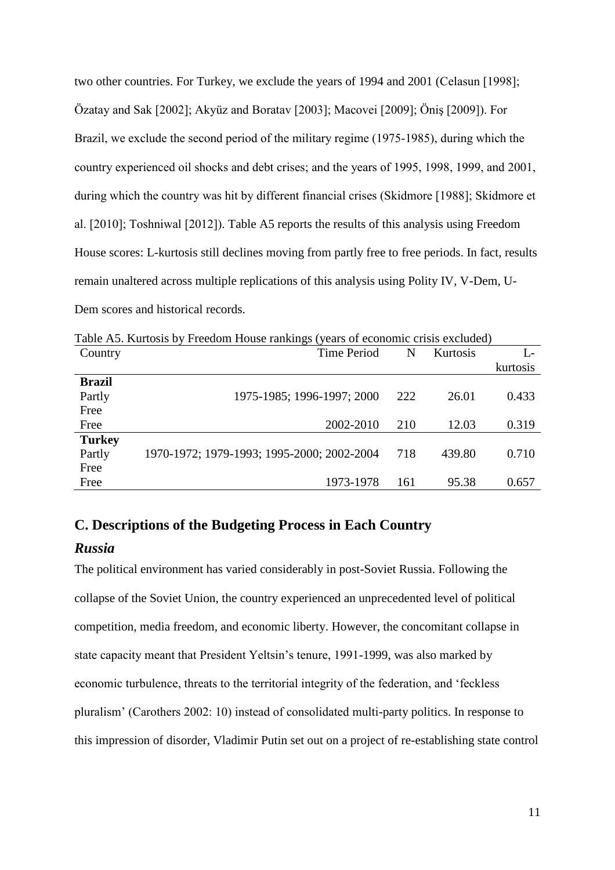two other countries. For Turkey, we exclude the years of 1994 and 2001 (Celasun [1998]; Özatay and Sak [2002]; Akyüz and Boratav [2003]; Macovei [2009]; Öniş [2009]). For Brazil, we exclude the second period of the military regime (1975-1985), during which the country experienced oil shocks and debt crises; and the years of 1995, 1998, 1999, and 2001, during which the country was hit by different financial crises (Skidmore [1988]; Skidmore et al. [2010]; Toshniwal [2012]). Table A5 reports the results of this analysis using Freedom House scores: L-kurtosis still declines moving from partly free to free periods. In fact, results remain unaltered across multiple replications of this analysis using Polity IV, V-Dem, U-Dem scores and historical records.

|               | Table A.S. Nurtosis by Freedom House faitkings (years of economic crisis excluded) |     |          |          |
|---------------|------------------------------------------------------------------------------------|-----|----------|----------|
| Country       | Time Period                                                                        | N   | Kurtosis | L-       |
|               |                                                                                    |     |          | kurtosis |
| <b>Brazil</b> |                                                                                    |     |          |          |
| Partly        | 1975-1985; 1996-1997; 2000                                                         | 222 | 26.01    | 0.433    |
| Free          |                                                                                    |     |          |          |
| Free          | 2002-2010                                                                          | 210 | 12.03    | 0.319    |
| <b>Turkey</b> |                                                                                    |     |          |          |
| Partly        | 1970-1972; 1979-1993; 1995-2000; 2002-2004                                         | 718 | 439.80   | 0.710    |
| Free          |                                                                                    |     |          |          |
| Free          | 1973-1978                                                                          | 161 | 95.38    | 0.657    |

Table A5. Kurtosis by Freedom House rankings (years of economic crisis excluded)

## **C. Descriptions of the Budgeting Process in Each Country**

## *Russia*

The political environment has varied considerably in post-Soviet Russia. Following the collapse of the Soviet Union, the country experienced an unprecedented level of political competition, media freedom, and economic liberty. However, the concomitant collapse in state capacity meant that President Yeltsin's tenure, 1991-1999, was also marked by economic turbulence, threats to the territorial integrity of the federation, and 'feckless pluralism' (Carothers 2002: 10) instead of consolidated multi-party politics. In response to this impression of disorder, Vladimir Putin set out on a project of re-establishing state control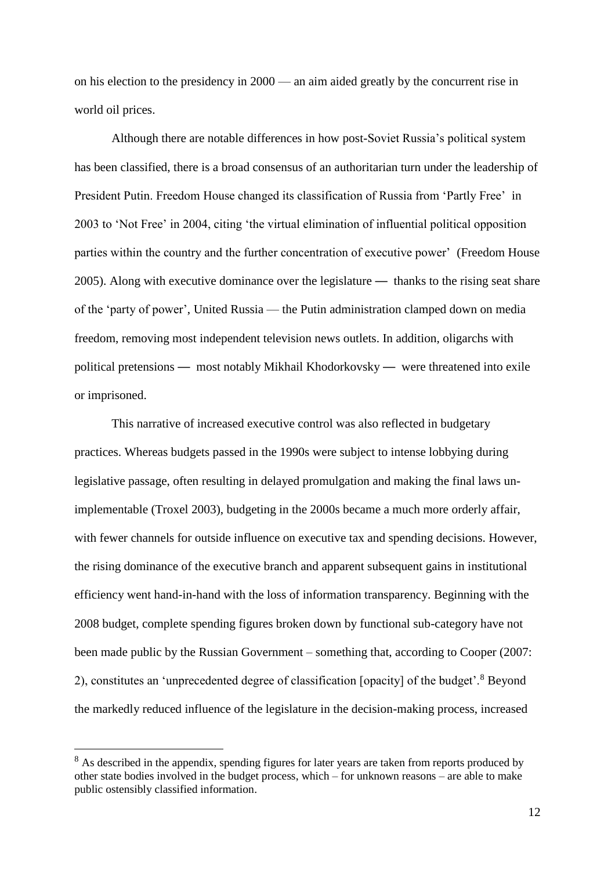on his election to the presidency in 2000 — an aim aided greatly by the concurrent rise in world oil prices.

Although there are notable differences in how post-Soviet Russia's political system has been classified, there is a broad consensus of an authoritarian turn under the leadership of President Putin. Freedom House changed its classification of Russia from 'Partly Free' in 2003 to 'Not Free' in 2004, citing 'the virtual elimination of influential political opposition parties within the country and the further concentration of executive power' (Freedom House 2005). Along with executive dominance over the legislature — thanks to the rising seat share of the 'party of power', United Russia — the Putin administration clamped down on media freedom, removing most independent television news outlets. In addition, oligarchs with political pretensions — most notably Mikhail Khodorkovsky — were threatened into exile or imprisoned.

This narrative of increased executive control was also reflected in budgetary practices. Whereas budgets passed in the 1990s were subject to intense lobbying during legislative passage, often resulting in delayed promulgation and making the final laws unimplementable (Troxel 2003), budgeting in the 2000s became a much more orderly affair, with fewer channels for outside influence on executive tax and spending decisions. However, the rising dominance of the executive branch and apparent subsequent gains in institutional efficiency went hand-in-hand with the loss of information transparency. Beginning with the 2008 budget, complete spending figures broken down by functional sub-category have not been made public by the Russian Government – something that, according to Cooper (2007: 2), constitutes an 'unprecedented degree of classification [opacity] of the budget'.<sup>8</sup> Beyond the markedly reduced influence of the legislature in the decision-making process, increased

<sup>&</sup>lt;sup>8</sup> As described in the appendix, spending figures for later years are taken from reports produced by other state bodies involved in the budget process, which – for unknown reasons – are able to make public ostensibly classified information.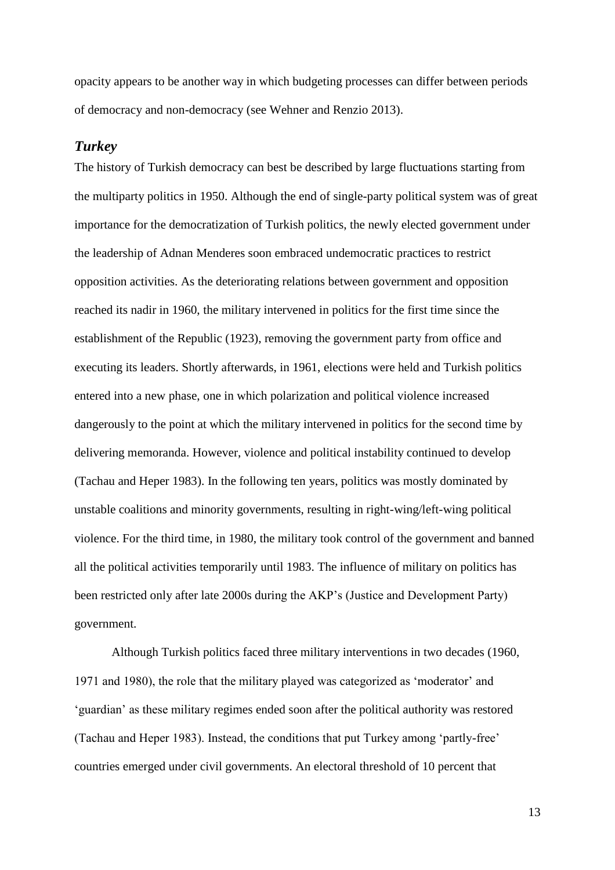opacity appears to be another way in which budgeting processes can differ between periods of democracy and non-democracy (see Wehner and Renzio 2013).

## *Turkey*

The history of Turkish democracy can best be described by large fluctuations starting from the multiparty politics in 1950. Although the end of single-party political system was of great importance for the democratization of Turkish politics, the newly elected government under the leadership of Adnan Menderes soon embraced undemocratic practices to restrict opposition activities. As the deteriorating relations between government and opposition reached its nadir in 1960, the military intervened in politics for the first time since the establishment of the Republic (1923), removing the government party from office and executing its leaders. Shortly afterwards, in 1961, elections were held and Turkish politics entered into a new phase, one in which polarization and political violence increased dangerously to the point at which the military intervened in politics for the second time by delivering memoranda. However, violence and political instability continued to develop (Tachau and Heper 1983). In the following ten years, politics was mostly dominated by unstable coalitions and minority governments, resulting in right-wing/left-wing political violence. For the third time, in 1980, the military took control of the government and banned all the political activities temporarily until 1983. The influence of military on politics has been restricted only after late 2000s during the AKP's (Justice and Development Party) government.

Although Turkish politics faced three military interventions in two decades (1960, 1971 and 1980), the role that the military played was categorized as 'moderator' and 'guardian' as these military regimes ended soon after the political authority was restored (Tachau and Heper 1983). Instead, the conditions that put Turkey among 'partly-free' countries emerged under civil governments. An electoral threshold of 10 percent that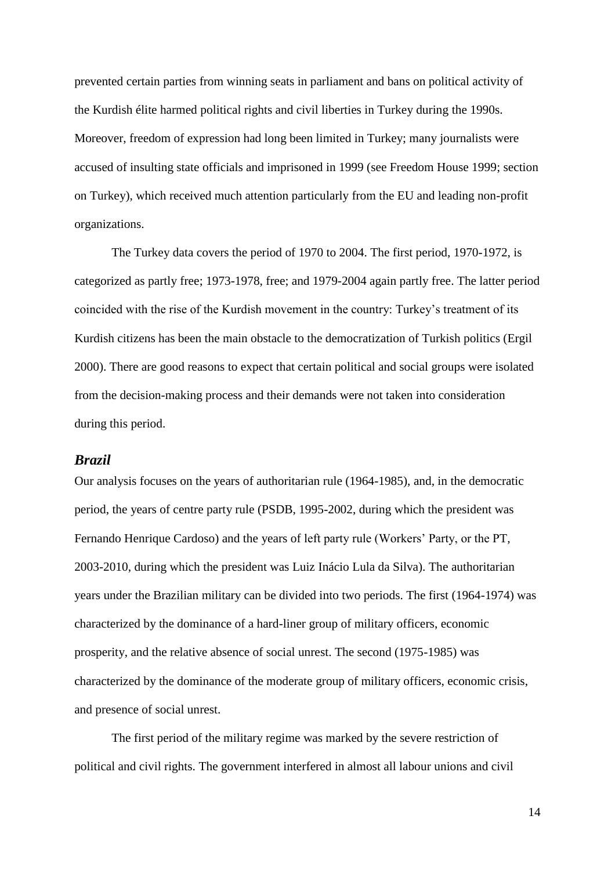prevented certain parties from winning seats in parliament and bans on political activity of the Kurdish élite harmed political rights and civil liberties in Turkey during the 1990s. Moreover, freedom of expression had long been limited in Turkey; many journalists were accused of insulting state officials and imprisoned in 1999 (see Freedom House 1999; section on Turkey), which received much attention particularly from the EU and leading non-profit organizations.

The Turkey data covers the period of 1970 to 2004. The first period, 1970-1972, is categorized as partly free; 1973-1978, free; and 1979-2004 again partly free. The latter period coincided with the rise of the Kurdish movement in the country: Turkey's treatment of its Kurdish citizens has been the main obstacle to the democratization of Turkish politics (Ergil 2000). There are good reasons to expect that certain political and social groups were isolated from the decision-making process and their demands were not taken into consideration during this period.

## *Brazil*

Our analysis focuses on the years of authoritarian rule (1964-1985), and, in the democratic period, the years of centre party rule (PSDB, 1995-2002, during which the president was Fernando Henrique Cardoso) and the years of left party rule (Workers' Party, or the PT, 2003-2010, during which the president was Luiz Inácio Lula da Silva). The authoritarian years under the Brazilian military can be divided into two periods. The first (1964-1974) was characterized by the dominance of a hard-liner group of military officers, economic prosperity, and the relative absence of social unrest. The second (1975-1985) was characterized by the dominance of the moderate group of military officers, economic crisis, and presence of social unrest.

The first period of the military regime was marked by the severe restriction of political and civil rights. The government interfered in almost all labour unions and civil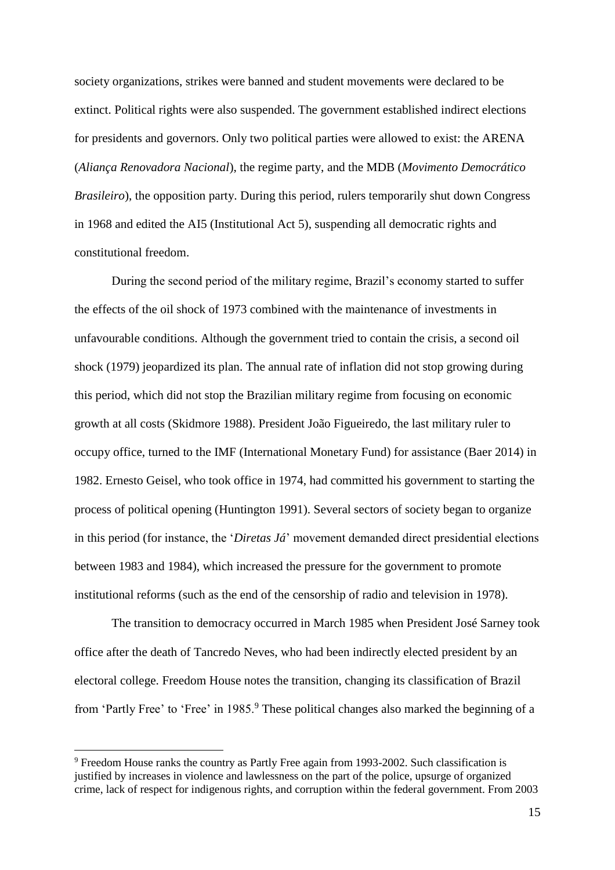society organizations, strikes were banned and student movements were declared to be extinct. Political rights were also suspended. The government established indirect elections for presidents and governors. Only two political parties were allowed to exist: the ARENA (*Aliança Renovadora Nacional*), the regime party, and the MDB (*Movimento Democrático Brasileiro*), the opposition party. During this period, rulers temporarily shut down Congress in 1968 and edited the AI5 (Institutional Act 5), suspending all democratic rights and constitutional freedom.

During the second period of the military regime, Brazil's economy started to suffer the effects of the oil shock of 1973 combined with the maintenance of investments in unfavourable conditions. Although the government tried to contain the crisis, a second oil shock (1979) jeopardized its plan. The annual rate of inflation did not stop growing during this period, which did not stop the Brazilian military regime from focusing on economic growth at all costs (Skidmore 1988). President João Figueiredo, the last military ruler to occupy office, turned to the IMF (International Monetary Fund) for assistance (Baer 2014) in 1982. Ernesto Geisel, who took office in 1974, had committed his government to starting the process of political opening (Huntington 1991). Several sectors of society began to organize in this period (for instance, the '*Diretas Já*' movement demanded direct presidential elections between 1983 and 1984), which increased the pressure for the government to promote institutional reforms (such as the end of the censorship of radio and television in 1978).

The transition to democracy occurred in March 1985 when President José Sarney took office after the death of Tancredo Neves, who had been indirectly elected president by an electoral college. Freedom House notes the transition, changing its classification of Brazil from 'Partly Free' to 'Free' in 1985.<sup>9</sup> These political changes also marked the beginning of a

<sup>9</sup> Freedom House ranks the country as Partly Free again from 1993-2002. Such classification is justified by increases in violence and lawlessness on the part of the police, upsurge of organized crime, lack of respect for indigenous rights, and corruption within the federal government. From 2003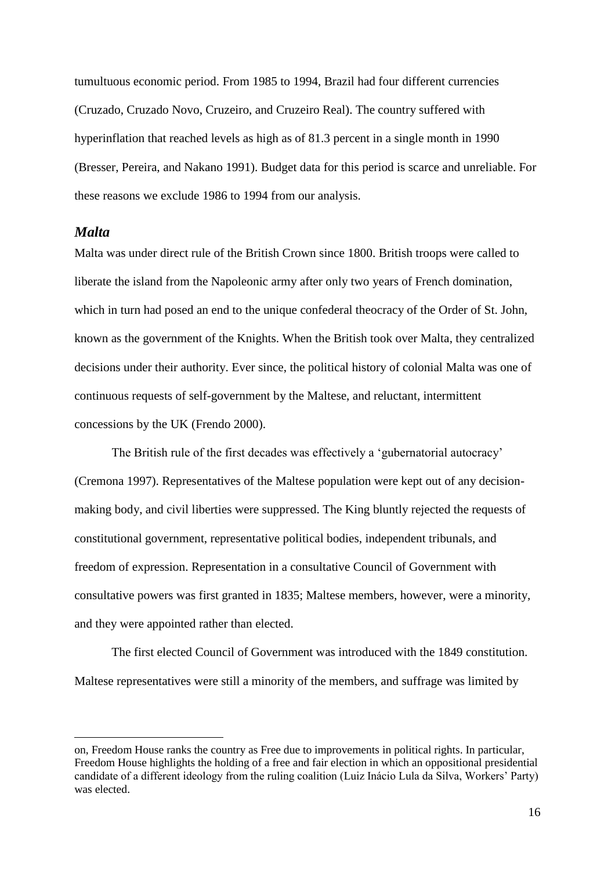tumultuous economic period. From 1985 to 1994, Brazil had four different currencies (Cruzado, Cruzado Novo, Cruzeiro, and Cruzeiro Real). The country suffered with hyperinflation that reached levels as high as of 81.3 percent in a single month in 1990 (Bresser, Pereira, and Nakano 1991). Budget data for this period is scarce and unreliable. For these reasons we exclude 1986 to 1994 from our analysis.

#### *Malta*

 $\overline{a}$ 

Malta was under direct rule of the British Crown since 1800. British troops were called to liberate the island from the Napoleonic army after only two years of French domination, which in turn had posed an end to the unique confederal theocracy of the Order of St. John, known as the government of the Knights. When the British took over Malta, they centralized decisions under their authority. Ever since, the political history of colonial Malta was one of continuous requests of self-government by the Maltese, and reluctant, intermittent concessions by the UK (Frendo 2000).

The British rule of the first decades was effectively a 'gubernatorial autocracy' (Cremona 1997). Representatives of the Maltese population were kept out of any decisionmaking body, and civil liberties were suppressed. The King bluntly rejected the requests of constitutional government, representative political bodies, independent tribunals, and freedom of expression. Representation in a consultative Council of Government with consultative powers was first granted in 1835; Maltese members, however, were a minority, and they were appointed rather than elected.

The first elected Council of Government was introduced with the 1849 constitution. Maltese representatives were still a minority of the members, and suffrage was limited by

on, Freedom House ranks the country as Free due to improvements in political rights. In particular, Freedom House highlights the holding of a free and fair election in which an oppositional presidential candidate of a different ideology from the ruling coalition (Luiz Inácio Lula da Silva, Workers' Party) was elected.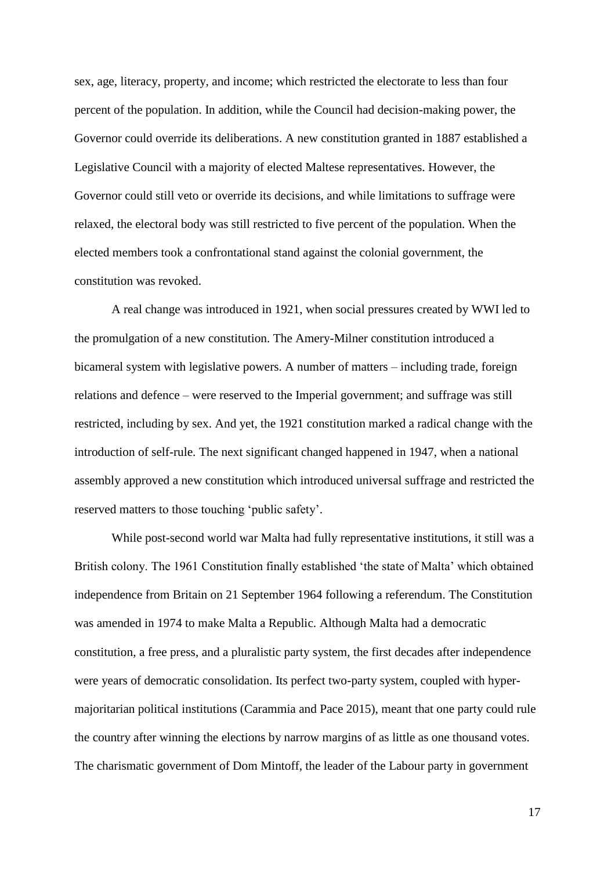sex, age, literacy, property, and income; which restricted the electorate to less than four percent of the population. In addition, while the Council had decision-making power, the Governor could override its deliberations. A new constitution granted in 1887 established a Legislative Council with a majority of elected Maltese representatives. However, the Governor could still veto or override its decisions, and while limitations to suffrage were relaxed, the electoral body was still restricted to five percent of the population. When the elected members took a confrontational stand against the colonial government, the constitution was revoked.

A real change was introduced in 1921, when social pressures created by WWI led to the promulgation of a new constitution. The Amery-Milner constitution introduced a bicameral system with legislative powers. A number of matters – including trade, foreign relations and defence – were reserved to the Imperial government; and suffrage was still restricted, including by sex. And yet, the 1921 constitution marked a radical change with the introduction of self-rule. The next significant changed happened in 1947, when a national assembly approved a new constitution which introduced universal suffrage and restricted the reserved matters to those touching 'public safety'.

While post-second world war Malta had fully representative institutions, it still was a British colony. The 1961 Constitution finally established 'the state of Malta' which obtained independence from Britain on 21 September 1964 following a referendum. The Constitution was amended in 1974 to make Malta a Republic. Although Malta had a democratic constitution, a free press, and a pluralistic party system, the first decades after independence were years of democratic consolidation. Its perfect two-party system, coupled with hypermajoritarian political institutions (Carammia and Pace 2015), meant that one party could rule the country after winning the elections by narrow margins of as little as one thousand votes. The charismatic government of Dom Mintoff, the leader of the Labour party in government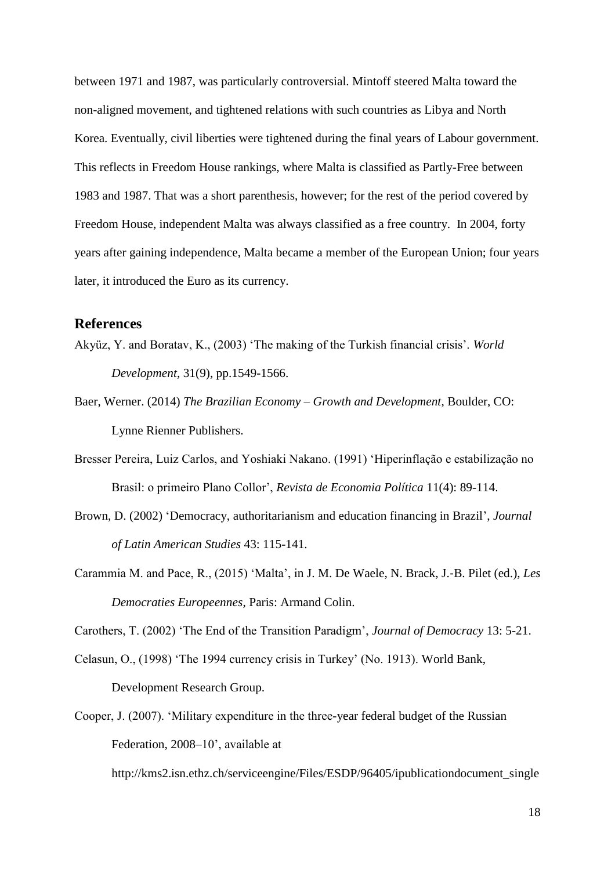between 1971 and 1987, was particularly controversial. Mintoff steered Malta toward the non-aligned movement, and tightened relations with such countries as Libya and North Korea. Eventually, civil liberties were tightened during the final years of Labour government. This reflects in Freedom House rankings, where Malta is classified as Partly-Free between 1983 and 1987. That was a short parenthesis, however; for the rest of the period covered by Freedom House, independent Malta was always classified as a free country. In 2004, forty years after gaining independence, Malta became a member of the European Union; four years later, it introduced the Euro as its currency.

## **References**

- Akyüz, Y. and Boratav, K., (2003) 'The making of the Turkish financial crisis'. *World Development*, 31(9), pp.1549-1566.
- Baer, Werner. (2014) *The Brazilian Economy – Growth and Development*, Boulder, CO: Lynne Rienner Publishers.
- Bresser Pereira, Luiz Carlos, and Yoshiaki Nakano. (1991) 'Hiperinflação e estabilização no Brasil: o primeiro Plano Collor', *Revista de Economia Política* 11(4): 89-114.
- Brown, D. (2002) 'Democracy, authoritarianism and education financing in Brazil', *Journal of Latin American Studies* 43: 115-141.
- Carammia M. and Pace, R., (2015) 'Malta', in J. M. De Waele, N. Brack, J.‐B. Pilet (ed.), *Les Democraties Europeennes*, Paris: Armand Colin.

Carothers, T. (2002) 'The End of the Transition Paradigm', *Journal of Democracy* 13: 5-21.

- Celasun, O., (1998) 'The 1994 currency crisis in Turkey' (No. 1913). World Bank, Development Research Group.
- Cooper, J. (2007). 'Military expenditure in the three-year federal budget of the Russian Federation, 2008–10', available at [http://kms2.isn.ethz.ch/serviceengine/Files/ESDP/96405/ipublicationdocument\\_single](http://kms2.isn.ethz.ch/serviceengine/Files/ESDP/96405/ipublicationdocument_singledocument/be712761-0db9-4536-ba5e-49cde3c19695/en/2007_10_cooper20071010%5B1%5D.pdf)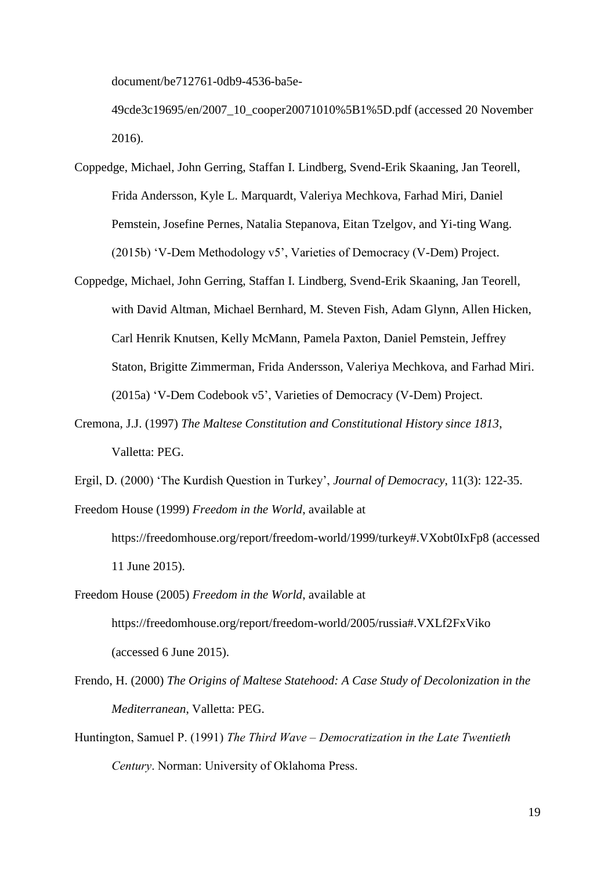[document/be712761-0db9-4536-ba5e-](http://kms2.isn.ethz.ch/serviceengine/Files/ESDP/96405/ipublicationdocument_singledocument/be712761-0db9-4536-ba5e-49cde3c19695/en/2007_10_cooper20071010%5B1%5D.pdf)

[49cde3c19695/en/2007\\_10\\_cooper20071010%5B1%5D.pdf](http://kms2.isn.ethz.ch/serviceengine/Files/ESDP/96405/ipublicationdocument_singledocument/be712761-0db9-4536-ba5e-49cde3c19695/en/2007_10_cooper20071010%5B1%5D.pdf) (accessed 20 November 2016).

- Coppedge, Michael, John Gerring, Staffan I. Lindberg, Svend-Erik Skaaning, Jan Teorell, Frida Andersson, Kyle L. Marquardt, Valeriya Mechkova, Farhad Miri, Daniel Pemstein, Josefine Pernes, Natalia Stepanova, Eitan Tzelgov, and Yi-ting Wang. (2015b) 'V-Dem Methodology v5', Varieties of Democracy (V-Dem) Project.
- Coppedge, Michael, John Gerring, Staffan I. Lindberg, Svend-Erik Skaaning, Jan Teorell, with David Altman, Michael Bernhard, M. Steven Fish, Adam Glynn, Allen Hicken, Carl Henrik Knutsen, Kelly McMann, Pamela Paxton, Daniel Pemstein, Jeffrey Staton, Brigitte Zimmerman, Frida Andersson, Valeriya Mechkova, and Farhad Miri. (2015a) 'V-Dem Codebook v5', Varieties of Democracy (V-Dem) Project.
- Cremona, J.J. (1997) *The Maltese Constitution and Constitutional History since 1813*, Valletta: PEG.
- Ergil, D. (2000) 'The Kurdish Question in Turkey', *Journal of Democracy*, 11(3): 122-35.

Freedom House (1999) *Freedom in the World*, available at

- https://freedomhouse.org/report/freedom-world/1999/turkey#.VXobt0IxFp8 (accessed 11 June 2015).
- Freedom House (2005) *Freedom in the World*, available at https://freedomhouse.org/report/freedom-world/2005/russia#.VXLf2FxViko (accessed 6 June 2015).
- Frendo, H. (2000) *The Origins of Maltese Statehood: A Case Study of Decolonization in the Mediterranean*, Valletta: PEG.
- Huntington, Samuel P. (1991) *The Third Wave – Democratization in the Late Twentieth Century*. Norman: University of Oklahoma Press.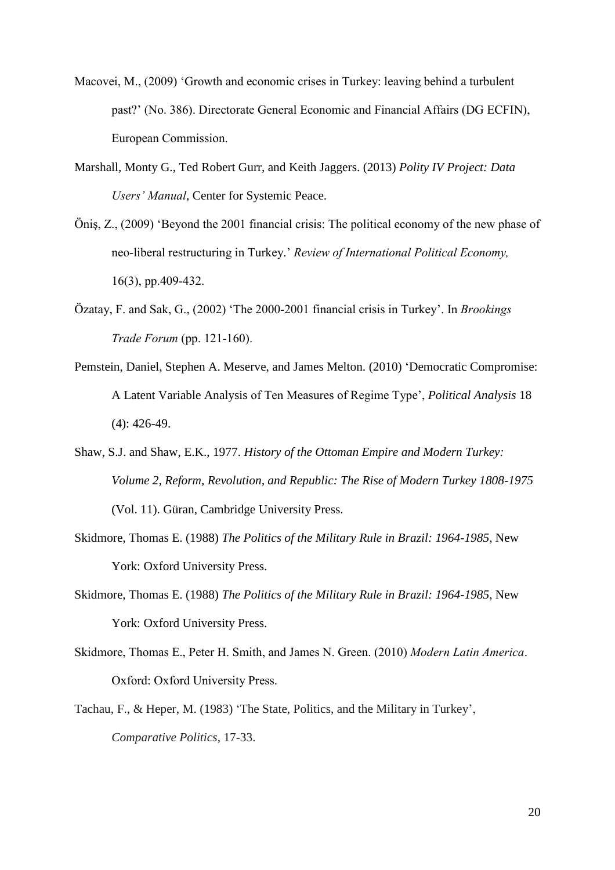- Macovei, M., (2009) 'Growth and economic crises in Turkey: leaving behind a turbulent past?' (No. 386). Directorate General Economic and Financial Affairs (DG ECFIN), European Commission.
- Marshall, Monty G., Ted Robert Gurr, and Keith Jaggers. (2013) *Polity IV Project: Data Users' Manual*, Center for Systemic Peace.
- Öniş, Z., (2009) 'Beyond the 2001 financial crisis: The political economy of the new phase of neo-liberal restructuring in Turkey.' *Review of International Political Economy,* 16(3), pp.409-432.
- Özatay, F. and Sak, G., (2002) 'The 2000-2001 financial crisis in Turkey'. In *Brookings Trade Forum* (pp. 121-160).
- Pemstein, Daniel, Stephen A. Meserve, and James Melton. (2010) 'Democratic Compromise: A Latent Variable Analysis of Ten Measures of Regime Type', *Political Analysis* 18 (4): 426-49.
- Shaw, S.J. and Shaw, E.K., 1977. *History of the Ottoman Empire and Modern Turkey: Volume 2, Reform, Revolution, and Republic: The Rise of Modern Turkey 1808-1975* (Vol. 11). Güran, Cambridge University Press.
- Skidmore, Thomas E. (1988) *The Politics of the Military Rule in Brazil: 1964-1985*, New York: Oxford University Press.
- Skidmore, Thomas E. (1988) *The Politics of the Military Rule in Brazil: 1964-1985*, New York: Oxford University Press.
- Skidmore, Thomas E., Peter H. Smith, and James N. Green. (2010) *Modern Latin America*. Oxford: Oxford University Press.
- Tachau, F., & Heper, M. (1983) 'The State, Politics, and the Military in Turkey', *Comparative Politics*, 17-33.